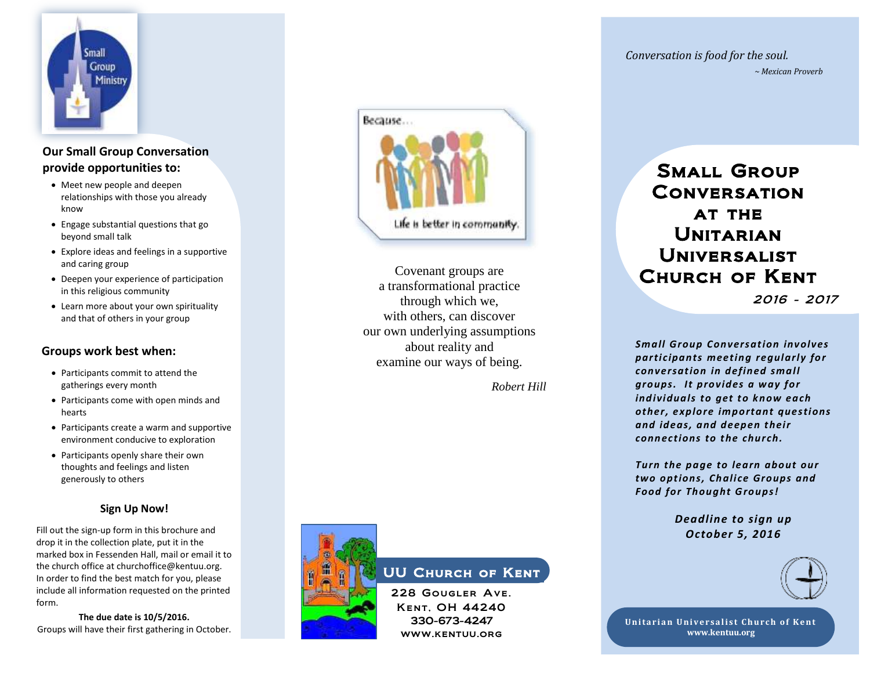

# **Our Small Group Conversation provide opportunities to:**

- Meet new people and deepen Meet new people and deepen<br>relationships with those you already know
- Engage substantial questions that go beyond small talk
- Explore ideas and feelings in a supportive and caring group
- Deepen your experience of participation in this religious community
- Learn more about your own spirituality and that of others in your group

#### **Groups work best when:**

- gatherings every month • Participants commit to attend the
- Participants come with open minds and hearts
- Participants create a warm and supportive environment conducive to exploration
- Participants openly share their own thoughts and feelings and listen generously to others

#### **Sign Up Now!**

Fill out the sign-up form in this brochure and drop it in the collection plate, put it in the marked box in Fessenden Hall, mail or email it to the church office at churchoffice@kentuu.org. In order to find the best match for you, please include all information requested on the printed form.

**The due date is 10/5/2016.** Groups will have their first gathering in October.



Covenant groups are a transformational practice through which we, with others, can discover our own underlying assumptions about reality and examine our ways of being.

 *Robert Hill*



# UU Church of Kent

228 Gougler Ave. Kent , OH 44240 330-673-4247 www.kentuu.org

*Conversation is food for the soul. ~ Mexican Proverb*

# Small Group **CONVERSATION** AT THE **UNITARIAN** Universalist Church of Kent

2016 - 2017

*Small Group Conversation involves participants meeting regularly for conversation in defined small groups. It provides a way for individuals to get to know each other, explore important questions and ideas, and deepen their connections to the church.* 

*Turn the page to learn about our two options, Chali ce Groups and Food for Thought Groups!*

> *Deadline to sign up October 5, 2016*



**Unitarian Universalist Church of Kent www.kentuu.org**